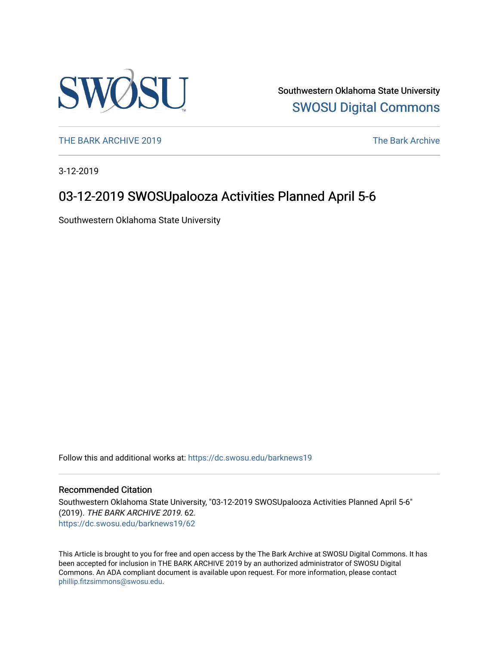

Southwestern Oklahoma State University [SWOSU Digital Commons](https://dc.swosu.edu/) 

[THE BARK ARCHIVE 2019](https://dc.swosu.edu/barknews19) The Bark Archive

3-12-2019

# 03-12-2019 SWOSUpalooza Activities Planned April 5-6

Southwestern Oklahoma State University

Follow this and additional works at: [https://dc.swosu.edu/barknews19](https://dc.swosu.edu/barknews19?utm_source=dc.swosu.edu%2Fbarknews19%2F62&utm_medium=PDF&utm_campaign=PDFCoverPages)

#### Recommended Citation

Southwestern Oklahoma State University, "03-12-2019 SWOSUpalooza Activities Planned April 5-6" (2019). THE BARK ARCHIVE 2019. 62. [https://dc.swosu.edu/barknews19/62](https://dc.swosu.edu/barknews19/62?utm_source=dc.swosu.edu%2Fbarknews19%2F62&utm_medium=PDF&utm_campaign=PDFCoverPages) 

This Article is brought to you for free and open access by the The Bark Archive at SWOSU Digital Commons. It has been accepted for inclusion in THE BARK ARCHIVE 2019 by an authorized administrator of SWOSU Digital Commons. An ADA compliant document is available upon request. For more information, please contact [phillip.fitzsimmons@swosu.edu](mailto:phillip.fitzsimmons@swosu.edu).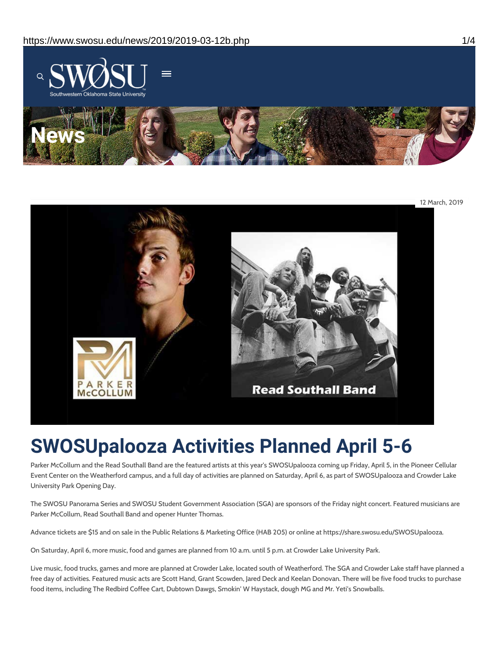



# **SWOSUpalooza Activities Planned April 5-6**

Parker McCollum and the Read Southall Band are the featured artists at this year's SWOSUpalooza coming up Friday, April 5, in the Pioneer Cellular Event Center on the Weatherford campus, and a full day of activities are planned on Saturday, April 6, as part of SWOSUpalooza and Crowder Lake University Park Opening Day.

The SWOSU Panorama Series and SWOSU Student Government Association (SGA) are sponsors of the Friday night concert. Featured musicians are Parker McCollum, Read Southall Band and opener Hunter Thomas.

Advance tickets are \$15 and on sale in the Public Relations & Marketing Office (HAB 205) or online at https://share.swosu.edu/SWOSUpalooza.

On Saturday, April 6, more music, food and games are planned from 10 a.m. until 5 p.m. at Crowder Lake University Park.

Live music, food trucks, games and more are planned at Crowder Lake, located south of Weatherford. The SGA and Crowder Lake staff have planned a free day of activities. Featured music acts are Scott Hand, Grant Scowden, Jared Deck and Keelan Donovan. There will be five food trucks to purchase food items, including The Redbird Coffee Cart, Dubtown Dawgs, Smokin' W Haystack, dough MG and Mr. Yeti's Snowballs.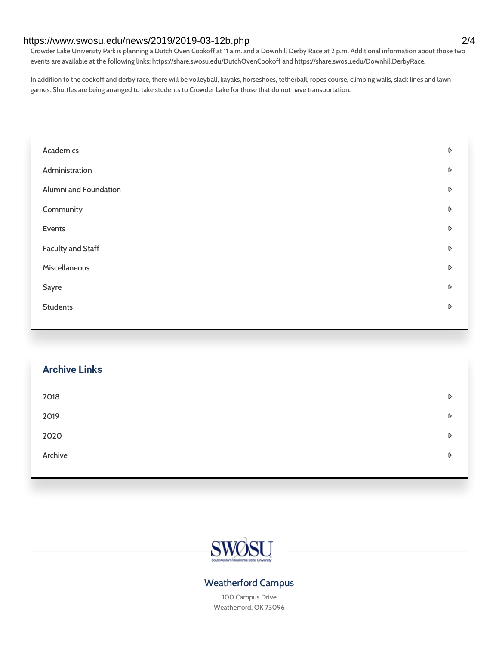#### https://www.swosu.edu/news/2019/2019-03-12b.php 2/4

Crowder Lake University Park is planning a Dutch Oven Cookoff at 11 a.m. and a Downhill Derby Race at 2 p.m. Additional information about those two events are available at the following links: https://share.swosu.edu/DutchOvenCookoff and https://share.swosu.edu/DownhillDerbyRace.

In addition to the cookoff and derby race, there will be volleyball, kayaks, horseshoes, tetherball, ropes course, climbing walls, slack lines and lawn games. Shuttles are being arranged to take students to Crowder Lake for those that do not have transportation.

| Academics                | D |
|--------------------------|---|
| Administration           | D |
| Alumni and Foundation    | D |
| Community                | D |
| Events                   | D |
| <b>Faculty and Staff</b> | D |
| Miscellaneous            | D |
| Sayre                    | D |
| <b>Students</b>          | D |
|                          |   |

## **Archive Links**

| 2018    | D |
|---------|---|
| 2019    | D |
| 2020    | D |
| Archive | D |
|         |   |



## Weatherford Campus

100 Campus Drive Weatherford, OK 73096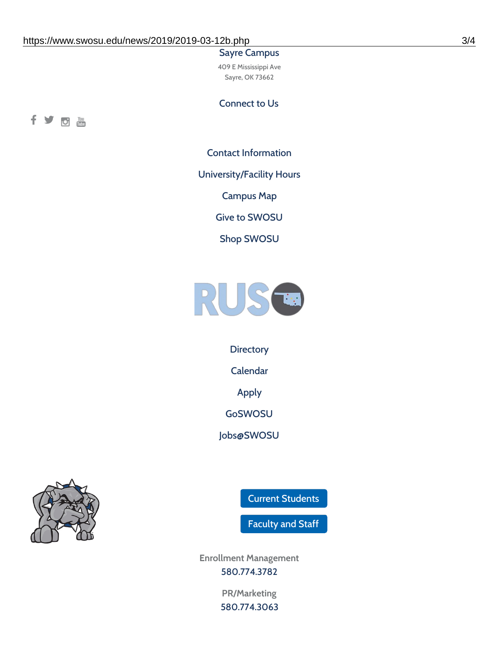#### Sayre Campus

409 E Mississippi Ave Sayre, OK 73662

Connect to Us



Contact [Information](https://www.swosu.edu/about/contact.php)

[University/Facility](https://www.swosu.edu/about/operating-hours.php) Hours

[Campus](https://map.concept3d.com/?id=768#!ct/10964,10214,10213,10212,10205,10204,10203,10202,10136,10129,10128,0,31226,10130,10201,10641,0) Map

Give to [SWOSU](https://standingfirmly.com/donate)

Shop [SWOSU](https://shopswosu.merchorders.com/)



**[Directory](https://www.swosu.edu/directory/index.php)** 

[Calendar](https://eventpublisher.dudesolutions.com/swosu/)

[Apply](https://www.swosu.edu/admissions/apply-to-swosu.php)

[GoSWOSU](https://qlsso.quicklaunchsso.com/home/1267)

[Jobs@SWOSU](https://swosu.csod.com/ux/ats/careersite/1/home?c=swosu)



Current [Students](https://bulldog.swosu.edu/index.php)

[Faculty](https://bulldog.swosu.edu/faculty-staff/index.php) and Staff

**Enrollment Management** [580.774.3782](tel:5807743782)

> **PR/Marketing** [580.774.3063](tel:5807743063)